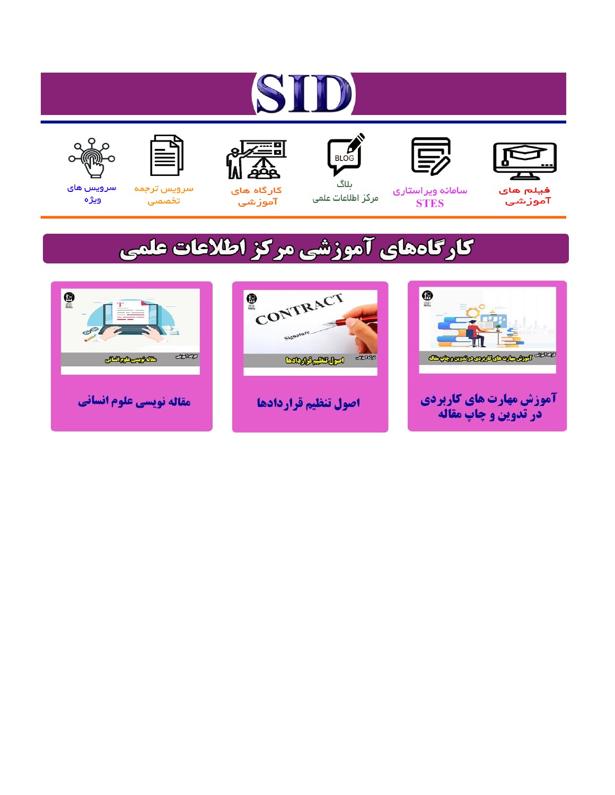# ST











ىلاگ



مرکز اطلاعات علمی

 $\frac{1}{\sqrt{\frac{1}{100}}}$ 

Cologie Legislation

کارگاه های آموزشي

空

ققق

 $\begin{matrix} \textcircled{\footnotesize{A}}\\ \textcircled{\footnotesize{B}} \end{matrix}$ 

سرويس ترجمه تخصصى



سرویس های ويژه

كارگاههای آموزشی مركز اطلاعات علمی

CONTRACT

اصول تنظيم قراردادها



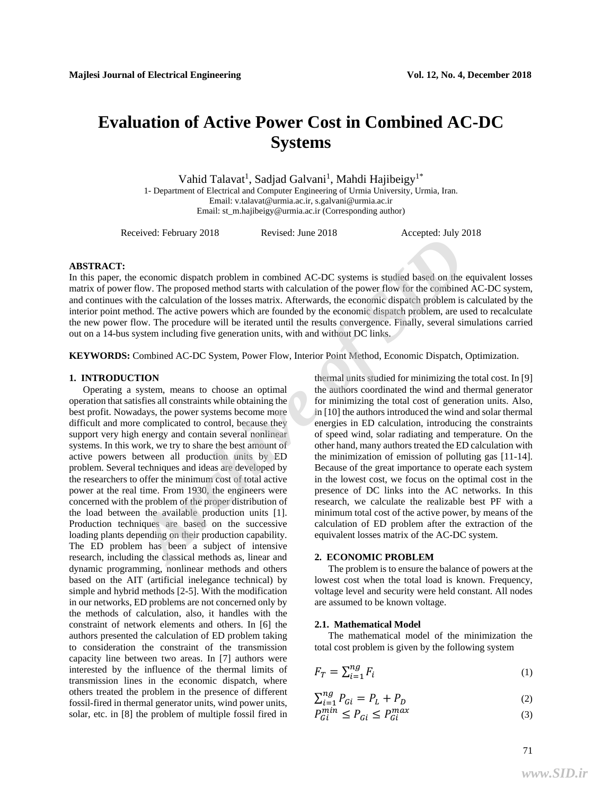## **Evaluation of Active Power Cost in Combined AC-DC Systems**

Vahid Talavat<sup>1</sup>, Sadjad Galvani<sup>1</sup>, Mahdi Hajibeigy<sup>1\*</sup> 1- Department of Electrical and Computer Engineering of Urmia University, Urmia, Iran. Email: v.talavat@urmia.ac.ir, s.galvani@urmia.ac.ir Email: st\_m.hajibeigy@urmia.ac.ir (Corresponding author)

Received: February 2018 Revised: June 2018 Accepted: July 2018

#### **ABSTRACT:**

In this paper, the economic dispatch problem in combined AC-DC systems is studied based on the equivalent losses matrix of power flow. The proposed method starts with calculation of the power flow for the combined AC-DC system, and continues with the calculation of the losses matrix. Afterwards, the economic dispatch problem is calculated by the interior point method. The active powers which are founded by the economic dispatch problem, are used to recalculate the new power flow. The procedure will be iterated until the results convergence. Finally, several simulations carried out on a 14-bus system including five generation units, with and without DC links.

**KEYWORDS:** Combined AC-DC System, Power Flow, Interior Point Method, Economic Dispatch, Optimization.

#### **1. INTRODUCTION**

Operating a system, means to choose an optimal operation that satisfies all constraints while obtaining the best profit. Nowadays, the power systems become more difficult and more complicated to control, because they support very high energy and contain several nonlinear systems. In this work, we try to share the best amount of active powers between all production units by ED problem. Several techniques and ideas are developed by the researchers to offer the minimum cost of total active power at the real time. From 1930, the engineers were concerned with the problem of the proper distribution of the load between the available production units [1]. Production techniques are based on the successive loading plants depending on their production capability. The ED problem has been a subject of intensive research, including the classical methods as, linear and dynamic programming, nonlinear methods and others based on the AIT (artificial inelegance technical) by simple and hybrid methods [2-5]. With the modification in our networks, ED problems are not concerned only by the methods of calculation, also, it handles with the constraint of network elements and others. In [6] the authors presented the calculation of ED problem taking to consideration the constraint of the transmission capacity line between two areas. In [7] authors were interested by the influence of the thermal limits of transmission lines in the economic dispatch, where others treated the problem in the presence of different fossil-fired in thermal generator units, wind power units, solar, etc. in [8] the problem of multiple fossil fired in **Exerce Consults** and the propose and the studied based on the equilibration of the proposed method starts with calculation of the power flow of or the combined AC-DC systems is studied based on the equilibration of the lo

thermal units studied for minimizing the total cost. In [9] the authors coordinated the wind and thermal generator for minimizing the total cost of generation units. Also, in [10] the authors introduced the wind and solar thermal energies in ED calculation, introducing the constraints of speed wind, solar radiating and temperature. On the other hand, many authors treated the ED calculation with the minimization of emission of polluting gas [11-14]. Because of the great importance to operate each system in the lowest cost, we focus on the optimal cost in the presence of DC links into the AC networks. In this research, we calculate the realizable best PF with a minimum total cost of the active power, by means of the calculation of ED problem after the extraction of the equivalent losses matrix of the AC-DC system.

#### **2. ECONOMIC PROBLEM**

The problem is to ensure the balance of powers at the lowest cost when the total load is known. Frequency, voltage level and security were held constant. All nodes are assumed to be known voltage.

#### **2.1. Mathematical Model**

The mathematical model of the minimization the total cost problem is given by the following system

$$
F_T = \sum_{i=1}^{ng} F_i \tag{1}
$$

$$
\sum_{i=1}^{ng} P_{Gi} = P_L + P_D \tag{2}
$$

$$
P_{Gi}^{min} \le P_{Gi} \le P_{Gi}^{max} \tag{3}
$$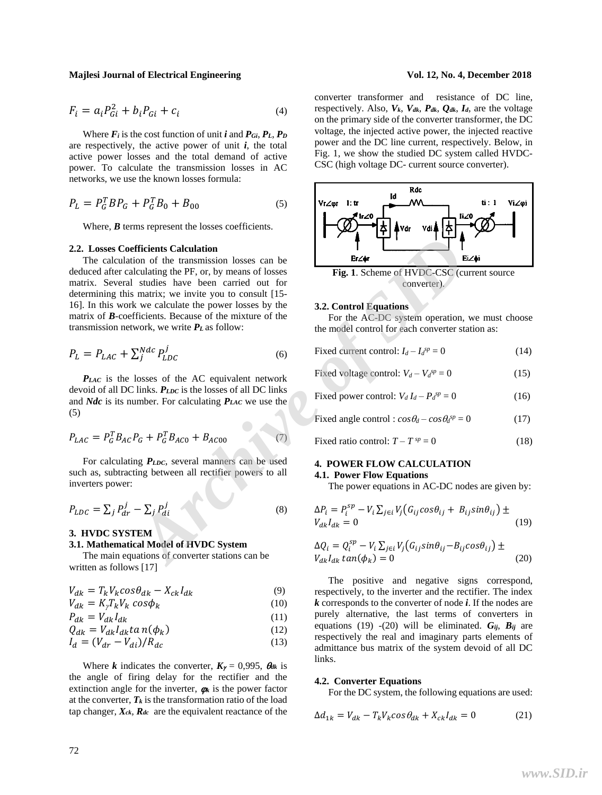$$
F_i = a_i P_{Gi}^2 + b_i P_{Gi} + c_i
$$
 (4)

Where  $F_i$  is the cost function of unit *i* and  $P_{Gi}$ ,  $P_L$ ,  $P_D$ are respectively, the active power of unit  $i$ , the total active power losses and the total demand of active power. To calculate the transmission losses in AC networks, we use the known losses formula:

$$
P_L = P_G^T B P_G + P_G^T B_0 + B_{00}
$$
\n<sup>(5)</sup>

Where, *B* terms represent the losses coefficients.

#### **2.2. Losses Coefficients Calculation**

The calculation of the transmission losses can be deduced after calculating the PF, or, by means of losses matrix. Several studies have been carried out for determining this matrix; we invite you to consult [15- 16]. In this work we calculate the power losses by the matrix of *B*-coefficients. Because of the mixture of the transmission network, we write *P<sup>L</sup>* as follow: **Efficients Calculation**<br>
ion of the transmission losses can be<br>
lectuating the PF, or, by means of losses<br>
studies have been carried out for<br>
strating twe inviter out to converter).<br>
ITS-converter).<br>
ITS-converter).<br>
It

$$
P_L = P_{LAC} + \sum_{j}^{Ndc} P_{LDC}^j
$$
\n<sup>(6)</sup>

*PLAC* is the losses of the AC equivalent network devoid of all DC links. *PLDC* is the losses of all DC links and *Ndc* is its number. For calculating *PLAC* we use the (5)

$$
P_{LAC} = P_G^T B_{AC} P_G + P_G^T B_{AC0} + B_{AC00}
$$
 (7)

For calculating *P<sub>LDC*</sub>, several manners can be used such as, subtracting between all rectifier powers to all inverters power:

$$
P_{LDC} = \sum_{j} P_{dr}^{j} - \sum_{j} P_{di}^{j}
$$
 (8)

#### **3. HVDC SYSTEM**

### **3.1. Mathematical Model of HVDC System**

The main equations of converter stations can be written as follows [17]

$$
V_{dk} = T_k V_k \cos \theta_{dk} - X_{ck} I_{dk} \tag{9}
$$

$$
V_{dk} = K_{\gamma} T_k V_k \cos \phi_k \tag{10}
$$

$$
P_{dk} = V_{dk} I_{dk} \tag{11}
$$

$$
Q_{dk} = V_{dk} I_{dk} \tan(\phi_k) \tag{12}
$$

$$
I_d = (V_{dr} - V_{di})/R_{dc} \tag{13}
$$

Where *k* indicates the converter,  $K_{\gamma} = 0.995$ ,  $\theta_{dk}$  is the angle of firing delay for the rectifier and the extinction angle for the inverter,  $\boldsymbol{q}_k$  is the power factor at the converter,  $T_k$  is the transformation ratio of the load tap changer,  $X_{ck}$ ,  $R_{dc}$  are the equivalent reactance of the

converter transformer and resistance of DC line, respectively. Also,  $V_k$ ,  $V_{dk}$ ,  $P_{dk}$ ,  $Q_{dk}$ ,  $I_d$ , are the voltage on the primary side of the converter transformer, the DC voltage, the injected active power, the injected reactive power and the DC line current, respectively. Below, in Fig. 1, we show the studied DC system called HVDC-CSC (high voltage DC- current source converter).



**Fig. 1**. Scheme of HVDC-CSC (current source converter).

#### **3.2. Control Equations**

For the AC-DC system operation, we must choose the model control for each converter station as:

$$
Fixed current control: I_d - I_d^{sp} = 0
$$
\n(14)

Fixed voltage control:  $V_d - V_d^{sp} = 0$  (15)

$$
Fixed power control: V_d I_d - P_d^{sp} = 0
$$
 (16)

Fixed angle control :  $cos\theta_d - cos\theta_d^{sp} = 0$  (17)

$$
Fixed ratio control: T - T^{sp} = 0
$$
\n(18)

## **4. POWER FLOW CALCULATION**

#### **4.1. Power Flow Equations**

The power equations in AC-DC nodes are given by:

$$
\Delta P_i = P_i^{sp} - V_i \sum_{j \in i} V_j (G_{ij} cos \theta_{ij} + B_{ij} sin \theta_{ij}) \pm
$$
  
\n
$$
V_{ak} I_{dk} = 0
$$
\n(19)

$$
\Delta Q_i = Q_i^{sp} - V_i \sum_{j \in i} V_j (G_{ij} sin \theta_{ij} - B_{ij} cos \theta_{ij}) \pm V_{ak} I_{ak} tan(\phi_k) = 0
$$
\n(20)

The positive and negative signs correspond, respectively, to the inverter and the rectifier. The index *k* corresponds to the converter of node *i*. If the nodes are purely alternative, the last terms of converters in equations (19) -(20) will be eliminated.  $G_{ij}$ ,  $B_{ij}$  are respectively the real and imaginary parts elements of admittance bus matrix of the system devoid of all DC links.

#### **4.2. Converter Equations**

For the DC system, the following equations are used:

$$
\Delta d_{1k} = V_{dk} - T_k V_k \cos \theta_{dk} + X_{ck} I_{dk} = 0 \tag{21}
$$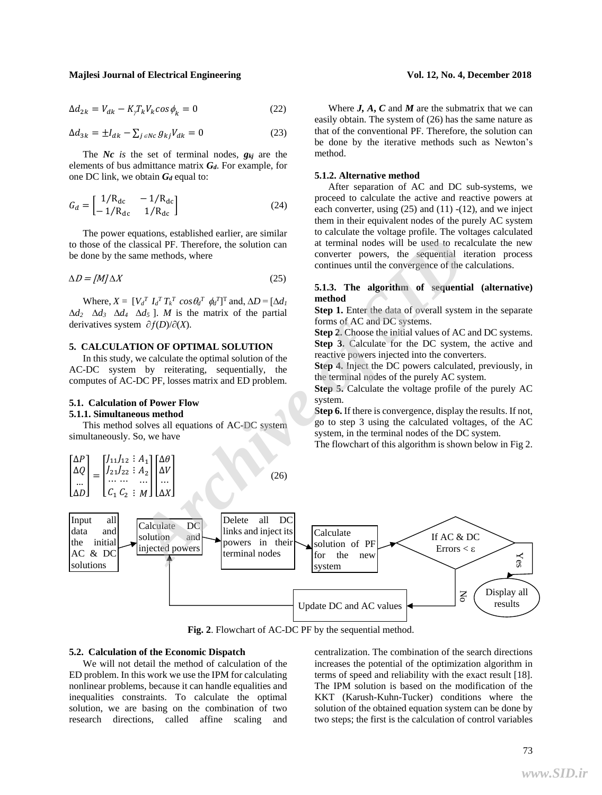$$
\Delta d_{2k} = V_{dk} - K_{\gamma} T_k V_k \cos \phi_k = 0 \tag{22}
$$

$$
\Delta d_{3k} = \pm I_{dk} - \sum_{j \in NC} g_{kj} V_{dk} = 0
$$
\n(23)

The *Nc is* the set of terminal nodes, *gkj* are the elements of bus admittance matrix *Gd*. For example, for one DC link, we obtain *G<sup>d</sup>* equal to:

$$
G_d = \begin{bmatrix} 1/R_{dc} & -1/R_{dc} \\ -1/R_{dc} & 1/R_{dc} \end{bmatrix}
$$
 (24)

The power equations, established earlier, are similar to those of the classical PF. Therefore, the solution can be done by the same methods, where

$$
\Delta D = [M] \Delta X \tag{25}
$$

Where,  $X = \left[ V_d^T I_d^T T_k^T \cos \theta_d^T \phi_d^T \right]^\text{T}$  and,  $\Delta D = \left[ \Delta d_l \right]$  $\Delta d_2$   $\Delta d_3$   $\Delta d_4$   $\Delta d_5$  ]. *M* is the matrix of the partial derivatives system  $\partial f(D)/\partial X$ .

#### **5. CALCULATION OF OPTIMAL SOLUTION**

In this study, we calculate the optimal solution of the AC-DC system by reiterating, sequentially, the computes of AC-DC PF, losses matrix and ED problem.

#### **5.1. Calculation of Power Flow 5.1.1. Simultaneous method**

This method solves all equations of AC-DC system simultaneously. So, we have



**Fig. 2**. Flowchart of AC-DC PF by the sequential method.

#### **5.2. Calculation of the Economic Dispatch**

We will not detail the method of calculation of the ED problem. In this work we use the IPM for calculating nonlinear problems, because it can handle equalities and inequalities constraints. To calculate the optimal solution, we are basing on the combination of two research directions, called affine scaling and

centralization. The combination of the search directions increases the potential of the optimization algorithm in terms of speed and reliability with the exact result [18]. The IPM solution is based on the modification of the KKT (Karush-Kuhn-Tucker) conditions where the solution of the obtained equation system can be done by two steps; the first is the calculation of control variables

Where  $J$ ,  $A$ ,  $C$  and  $M$  are the submatrix that we can easily obtain. The system of (26) has the same nature as that of the conventional PF. Therefore, the solution can be done by the iterative methods such as Newton's method.

#### **5.1.2. Alternative method**

After separation of AC and DC sub-systems, we proceed to calculate the active and reactive powers at each converter, using  $(25)$  and  $(11)$  - $(12)$ , and we inject them in their equivalent nodes of the purely AC system to calculate the voltage profile. The voltages calculated at terminal nodes will be used to recalculate the new converter powers, the sequential iteration process continues until the convergence of the calculations.

### **5.1.3. The algorithm of sequential (alternative) method**

**Step 1.** Enter the data of overall system in the separate forms of AC and DC systems.

**Step 2.** Choose the initial values of AC and DC systems. **Step 3.** Calculate for the DC system, the active and reactive powers injected into the converters.

**Step 4.** Inject the DC powers calculated, previously, in the terminal nodes of the purely AC system.

**Step 5.** Calculate the voltage profile of the purely AC system.

**Step 6.** If there is convergence, display the results. If not, go to step 3 using the calculated voltages, of the AC system, in the terminal nodes of the DC system.

The flowchart of this algorithm is shown below in Fig 2.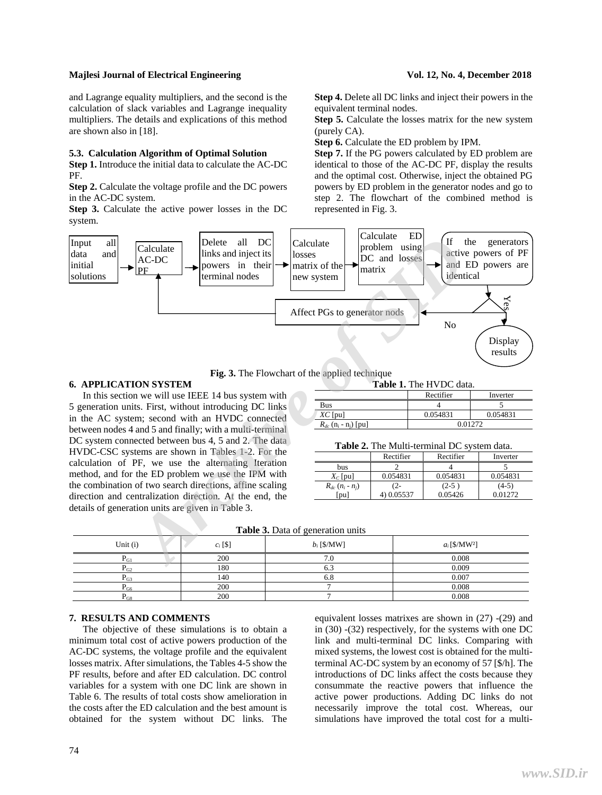and Lagrange equality multipliers, and the second is the calculation of slack variables and Lagrange inequality multipliers. The details and explications of this method are shown also in [18].

#### **5.3. Calculation Algorithm of Optimal Solution**

**Step 1.** Introduce the initial data to calculate the AC-DC PF.

**Step 2.** Calculate the voltage profile and the DC powers in the AC-DC system.

**Step 3.** Calculate the active power losses in the DC system.

**Step 4.** Delete all DC links and inject their powers in the equivalent terminal nodes.

**Step 5.** Calculate the losses matrix for the new system (purely CA).

**Step 6.** Calculate the ED problem by IPM.

**Step 7.** If the PG powers calculated by ED problem are identical to those of the AC-DC PF, display the results and the optimal cost. Otherwise, inject the obtained PG powers by ED problem in the generator nodes and go to step 2. The flowchart of the combined method is represented in Fig. 3.



**Fig. 3.** The Flowchart of the applied technique

#### **6. APPLICATION SYSTEM**

In this section we will use IEEE 14 bus system with 5 generation units. First, without introducing DC links in the AC system; second with an HVDC connected between nodes 4 and 5 and finally; with a multi-terminal DC system connected between bus 4, 5 and 2. The data HVDC-CSC systems are shown in Tables 1-2. For the calculation of PF, we use the alternating Iteration method, and for the ED problem we use the IPM with the combination of two search directions, affine scaling direction and centralization direction. At the end, the details of generation units are given in Table 3.

**Table 1.** The HVDC data.

|                                                  | Rectifier | Inverter |  |  |
|--------------------------------------------------|-----------|----------|--|--|
| Bus                                              |           |          |  |  |
| $XC$ [pu]                                        | 0.054831  | 0.054831 |  |  |
| $R_{dc}$ (n <sub>i</sub> - n <sub>i</sub> ) [pu] | ገ በ1272   |          |  |  |

| <b>Table 2.</b> The Multi-terminal DC system data. |  |
|----------------------------------------------------|--|
|----------------------------------------------------|--|

|                        | Rectifier | Rectifier | Inverter |
|------------------------|-----------|-----------|----------|
| bus                    |           |           |          |
| $X_c$ [pu]             | 0.054831  | 0.054831  | 0.054831 |
| $R_{dc}$ $(n_i - n_j)$ | (2-       | $(2-5)$   | $(4-5)$  |
| `pu                    | 0.05537   | 0.05426   | 0.012.72 |

**Table 3.** Data of generation units

| <b>Tuble of Baile of generation units</b> |            |               |                             |  |  |  |  |  |
|-------------------------------------------|------------|---------------|-----------------------------|--|--|--|--|--|
| Unit $(i)$                                | $c_i$ [\$] | $b_i$ [\$/MW] | $a_i$ [\$/MW <sup>2</sup> ] |  |  |  |  |  |
| $P_{G1}$                                  | 200        | 7.U           | 0.008                       |  |  |  |  |  |
| $P_{G2}$                                  | 180        | 0.J           | 0.009                       |  |  |  |  |  |
| $P_{G3}$                                  | 140        | o.o           | 0.007                       |  |  |  |  |  |
| $P_{G6}$                                  | 200        |               | 0.008                       |  |  |  |  |  |
| $P_{G8}$                                  | 200        |               | 0.008                       |  |  |  |  |  |

## **7. RESULTS AND COMMENTS**

The objective of these simulations is to obtain a minimum total cost of active powers production of the AC-DC systems, the voltage profile and the equivalent losses matrix. After simulations, the Tables 4-5 show the PF results, before and after ED calculation. DC control variables for a system with one DC link are shown in Table 6. The results of total costs show amelioration in the costs after the ED calculation and the best amount is obtained for the system without DC links. The

equivalent losses matrixes are shown in (27) -(29) and in (30) -(32) respectively, for the systems with one DC link and multi-terminal DC links. Comparing with mixed systems, the lowest cost is obtained for the multiterminal AC-DC system by an economy of 57 [\$/h]. The introductions of DC links affect the costs because they consummate the reactive powers that influence the active power productions. Adding DC links do not necessarily improve the total cost. Whereas, our simulations have improved the total cost for a multi-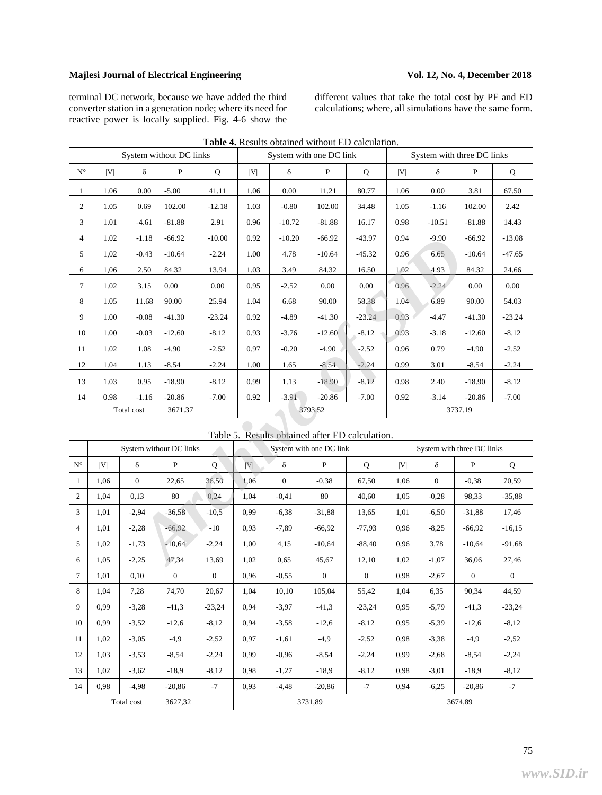terminal DC network, because we have added the third converter station in a generation node; where its need for reactive power is locally supplied. Fig. 4-6 show the different values that take the total cost by PF and ED calculations; where, all simulations have the same form.

|                      |      | System without DC links<br>System with one DC link |                         |             | System with three DC links |                |                                                 |          |                            |                |              |             |
|----------------------|------|----------------------------------------------------|-------------------------|-------------|----------------------------|----------------|-------------------------------------------------|----------|----------------------------|----------------|--------------|-------------|
| $\mathbf{N}^{\circ}$ | V    | $\delta$                                           | ${\bf P}$               | $\bf Q$     | V                          | $\delta$       | ${\bf P}$                                       | Q        | V                          | $\delta$       | ${\bf P}$    | $\mathbf Q$ |
| $\mathbf{1}$         | 1.06 | 0.00                                               | $-5.00$                 | 41.11       | 1.06                       | 0.00           | 11.21                                           | 80.77    | 1.06                       | 0.00           | 3.81         | 67.50       |
| $\mathbf{2}$         | 1.05 | 0.69                                               | 102.00                  | $-12.18$    | 1.03                       | $-0.80$        | 102.00                                          | 34.48    | 1.05                       | $-1.16$        | 102.00       | 2.42        |
| $\mathfrak{Z}$       | 1.01 | $-4.61$                                            | $-81.88$                | 2.91        | 0.96                       | $-10.72$       | $-81.88$                                        | 16.17    | 0.98                       | $-10.51$       | $-81.88$     | 14.43       |
| $\overline{4}$       | 1.02 | $-1.18$                                            | $-66.92$                | $-10.00$    | 0.92                       | $-10.20$       | $-66.92$                                        | $-43.97$ | 0.94                       | $-9.90$        | $-66.92$     | $-13.08$    |
| 5                    | 1,02 | $-0.43$                                            | -10.64                  | $-2.24$     | 1.00                       | 4.78           | $-10.64$                                        | -45.32   | 0.96                       | 6.65           | $-10.64$     | $-47.65$    |
| 6                    | 1,06 | 2.50                                               | 84.32                   | 13.94       | 1.03                       | 3.49           | 84.32                                           | 16.50    | 1.02                       | 4.93           | 84.32        | 24.66       |
| $\tau$               | 1.02 | 3.15                                               | 0.00                    | 0.00        | 0.95                       | $-2.52$        | 0.00                                            | 0.00     | 0.96                       | $-2.24$        | 0.00         | 0.00        |
| $\,8\,$              | 1.05 | 11.68                                              | 90.00                   | 25.94       | 1.04                       | 6.68           | 90.00                                           | 58.38    | 1.04                       | 6.89           | 90.00        | 54.03       |
| 9                    | 1.00 | $-0.08$                                            | $-41.30$                | $-23.24$    | 0.92                       | $-4.89$        | $-41.30$                                        | $-23.24$ | 0.93                       | $-4.47$        | $-41.30$     | $-23.24$    |
| 10                   | 1.00 | $-0.03$                                            | $-12.60$                | $-8.12$     | 0.93                       | $-3.76$        | $-12.60$                                        | $-8.12$  | 0.93                       | $-3.18$        | $-12.60$     | $-8.12$     |
| 11                   | 1.02 | 1.08                                               | -4.90                   | $-2.52$     | 0.97                       | $-0.20$        | $-4.90$                                         | $-2.52$  | 0.96                       | 0.79           | $-4.90$      | $-2.52$     |
| 12                   | 1.04 | 1.13                                               | $-8.54$                 | $-2.24$     | 1.00                       | 1.65           | $-8.54$                                         | $-2.24$  | 0.99                       | 3.01           | $-8.54$      | $-2.24$     |
| 13                   | 1.03 | 0.95                                               | $-18.90$                | $-8.12$     | 0.99                       | 1.13           | $-18.90$                                        | $-8.12$  | 0.98                       | 2.40           | $-18.90$     | $-8.12$     |
| 14                   | 0.98 | $-1.16$                                            | $-20.86$                | $-7.00$     | 0.92                       | $-3.91$        | $-20.86$                                        | $-7.00$  | 0.92                       | $-3.14$        | $-20.86$     | $-7.00$     |
|                      |      | Total cost                                         | 3671.37                 |             | 3793.52                    |                |                                                 | 3737.19  |                            |                |              |             |
|                      |      |                                                    |                         |             |                            |                | Table 5. Results obtained after ED calculation. |          |                            |                |              |             |
|                      |      |                                                    | System without DC links |             |                            |                | System with one DC link                         |          | System with three DC links |                |              |             |
| $\mathbf{N}^\circ$   | V    | $\delta$                                           | ${\bf P}$               | $\mathbf Q$ | V                          | $\delta$       | $\mathbf{P}$                                    | Q        | V                          | $\delta$       | $\mathbf{P}$ | Q           |
| $\mathbf{1}$         | 1,06 | $\overline{0}$                                     | 22,65                   | 36,50       | 1,06                       | $\overline{0}$ | $-0,38$                                         | 67,50    | 1,06                       | $\overline{0}$ | $-0,38$      | 70,59       |
| $\mathbf{2}$         | 1,04 | 0,13                                               | 80                      | 0,24        | 1,04                       | $-0.41$        | 80                                              | 40,60    | 1,05                       | $-0,28$        | 98,33        | $-35,88$    |
| 3                    | 1,01 | $-2.94$                                            | $-36,58$                | $-10,5$     | 0.99                       | $-6,38$        | $-31,88$                                        | 13,65    | 1,01                       | $-6,50$        | $-31,88$     | 17,46       |
| $\overline{4}$       | 1,01 | $-2,28$                                            | $-66,92$                | $-10$       | 0,93                       | $-7,89$        | $-66,92$                                        | $-77,93$ | 0,96                       | $-8,25$        | $-66,92$     | $-16,15$    |
| 5                    | 1,02 | $-1,73$                                            | $-10,64$                | $-2,24$     | 1,00                       | 4,15           | $-10,64$                                        | $-88,40$ | 0.96                       | 3,78           | $-10,64$     | $-91,68$    |
| 6                    | 1,05 | $-2,25$                                            | 47,34                   | 13,69       | 1,02                       | 0,65           | 45,67                                           | 12,10    | 1,02                       | $-1,07$        | 36,06        | 27,46       |

## Table 5. Results obtained after ED calculation.

|                    | System without DC links |          |              | System with one DC link |         |          | System with three DC links |             |      |          |          |             |
|--------------------|-------------------------|----------|--------------|-------------------------|---------|----------|----------------------------|-------------|------|----------|----------|-------------|
| $\mathbf{N}^\circ$ | V                       | δ        | P            | $\mathbf Q$             | V       | $\delta$ | P                          | $\mathbf Q$ | V    | $\delta$ | P        | $\mathbf Q$ |
| 1                  | 1.06                    | $\Omega$ | 22,65        | 36,50                   | 1.06    | $\Omega$ | $-0,38$                    | 67,50       | 1.06 | $\Omega$ | $-0,38$  | 70,59       |
| $\overline{2}$     | 1,04                    | 0,13     | 80           | 0,24                    | 1,04    | $-0.41$  | 80                         | 40,60       | 1,05 | $-0,28$  | 98,33    | $-35,88$    |
| 3                  | 1.01                    | $-2,94$  | $-36,58$     | $-10,5$                 | 0.99    | $-6,38$  | $-31,88$                   | 13,65       | 1,01 | $-6,50$  | $-31,88$ | 17,46       |
| $\overline{4}$     | 1.01                    | $-2,28$  | $-66.92$     | $-10$                   | 0.93    | $-7.89$  | $-66.92$                   | $-77.93$    | 0.96 | $-8,25$  | $-66.92$ | $-16.15$    |
| 5                  | 1.02                    | $-1,73$  | $-10.64$     | $-2,24$                 | 1.00    | 4,15     | $-10.64$                   | $-88.40$    | 0.96 | 3,78     | $-10.64$ | $-91,68$    |
| 6                  | 1.05                    | $-2,25$  | 47,34        | 13.69                   | 1.02    | 0.65     | 45,67                      | 12,10       | 1.02 | $-1,07$  | 36,06    | 27,46       |
| $\tau$             | 1,01                    | 0,10     | $\mathbf{0}$ | $\Omega$                | 0,96    | $-0.55$  | $\Omega$                   | $\Omega$    | 0.98 | $-2,67$  | $\theta$ | $\theta$    |
| 8                  | 1.04                    | 7,28     | 74,70        | 20,67                   | 1.04    | 10.10    | 105,04                     | 55,42       | 1,04 | 6,35     | 90,34    | 44,59       |
| 9                  | 0.99                    | $-3,28$  | $-41,3$      | $-23,24$                | 0.94    | $-3,97$  | $-41.3$                    | $-23,24$    | 0.95 | $-5,79$  | $-41,3$  | $-23,24$    |
| 10                 | 0.99                    | $-3,52$  | $-12,6$      | $-8,12$                 | 0.94    | $-3.58$  | $-12,6$                    | $-8,12$     | 0.95 | $-5,39$  | $-12,6$  | $-8,12$     |
| 11                 | 1,02                    | $-3,05$  | $-4,9$       | $-2,52$                 | 0,97    | $-1,61$  | $-4,9$                     | $-2,52$     | 0,98 | $-3,38$  | $-4,9$   | $-2,52$     |
| 12                 | 1,03                    | $-3,53$  | $-8,54$      | $-2,24$                 | 0,99    | $-0.96$  | $-8,54$                    | $-2,24$     | 0.99 | $-2,68$  | $-8,54$  | $-2,24$     |
| 13                 | 1.02                    | $-3,62$  | $-18.9$      | $-8,12$                 | 0,98    | $-1,27$  | $-18.9$                    | $-8,12$     | 0.98 | $-3,01$  | $-18.9$  | $-8,12$     |
| 14                 | 0.98                    | $-4,98$  | $-20,86$     | $-7$                    | 0.93    | $-4,48$  | $-20,86$                   | $-7$        | 0.94 | $-6,25$  | $-20,86$ | $-7$        |
|                    | Total cost<br>3627,32   |          |              |                         | 3731,89 |          |                            | 3674,89     |      |          |          |             |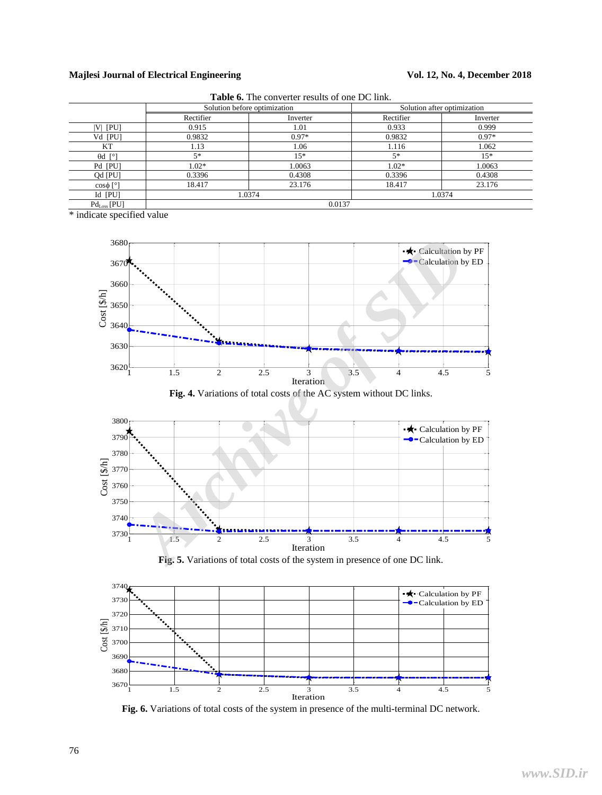|                      | Solution before optimization |          |           | Solution after optimization |  |
|----------------------|------------------------------|----------|-----------|-----------------------------|--|
|                      | Rectifier                    | Inverter | Rectifier | Inverter                    |  |
| $ V $ $ PU $         | 0.915                        | 1.01     | 0.933     | 0.999                       |  |
| Vd [PU]              | 0.9832                       | $0.97*$  | 0.9832    | $0.97*$                     |  |
| KТ                   | 1.13                         | 1.06     | 1.116     | 1.062                       |  |
| $\theta$ d [°]       | $5*$                         | $15*$    | $5*$      | $15*$                       |  |
| Pd [PU]              | $1.02*$                      | 1.0063   | $1.02*$   | 1.0063                      |  |
| Qd [PU]              | 0.3396                       | 0.4308   | 0.3396    | 0.4308                      |  |
| $\cos \phi$ [°]      | 18.417                       | 23.176   | 18.417    | 23.176                      |  |
| Id [PU]              | 1.0374                       |          | 1.0374    |                             |  |
| $Pd_{Loss}$ [ $PU$ ] |                              | 0.0137   |           |                             |  |

**Table 6.** The converter results of one DC link.

\* indicate specified value



**Fig. 4.** Variations of total costs of the AC system without DC links.

![](_page_6_Figure_7.jpeg)

**Fig. 5.** Variations of total costs of the system in presence of one DC link.

![](_page_6_Figure_9.jpeg)

**Fig. 6.** Variations of total costs of the system in presence of the multi-terminal DC network.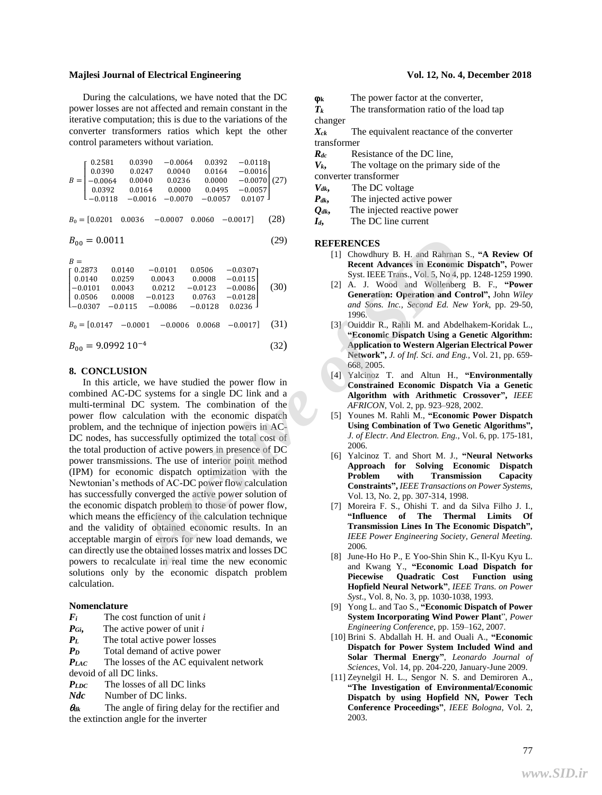#### **Majlesi Journal of Electrical Engineering Server All 2nd Server 2018** Vol. 12, No. 4, December 2018

During the calculations, we have noted that the DC power losses are not affected and remain constant in the iterative computation; this is due to the variations of the converter transformers ratios which kept the other control parameters without variation.

$$
B = \begin{bmatrix} 0.2581 & 0.0390 & -0.0064 & 0.0392 & -0.0118 \\ 0.0390 & 0.0247 & 0.0040 & 0.0164 & -0.0016 \\ -0.0064 & 0.0040 & 0.0236 & 0.0000 & -0.0070 \\ 0.0392 & 0.0164 & 0.0000 & 0.0495 & -0.0057 \\ -0.0118 & -0.0016 & -0.0070 & -0.0057 & 0.0107 \end{bmatrix} (27)
$$
  
\n
$$
B_0 = [0.0201 \quad 0.0036 \quad -0.0007 \quad 0.0060 \quad -0.0017] \quad (28)
$$

$$
B_{00} = 0.0011\tag{29}
$$

 $R =$ 

|  | $\begin{bmatrix} 0.2873 \\ 0.0140 \\ -0.0101 \\ 0.0506 \\ -0.0307 \end{bmatrix}$ | 0.0140<br>0.0259<br>0.0043 | $-0.0101$<br>0.0043<br>0.0212 | 0.0506<br>0.0008<br>$-0.0123$                                      | $-0.0307$<br>$-0.0115$<br>$-0.0086$ | (30) |  |
|--|----------------------------------------------------------------------------------|----------------------------|-------------------------------|--------------------------------------------------------------------|-------------------------------------|------|--|
|  |                                                                                  | 0.0008<br>$-0.0115$        | $-0.0123$<br>$-0.0086$        | 0.0763<br>$-0.0128$                                                | $-0.0128$<br>0.0236                 |      |  |
|  | $B_{00} = 9.0992 10^{-4}$                                                        |                            |                               | $B_0 = [0.0147 \ -0.0001 \ -0.0006 \ 0.0068 \ -0.0017] \quad (31)$ |                                     | (32) |  |
|  |                                                                                  |                            |                               |                                                                    |                                     |      |  |

#### **8. CONCLUSION**

In this article, we have studied the power flow in combined AC-DC systems for a single DC link and a multi-terminal DC system. The combination of the power flow calculation with the economic dispatch problem, and the technique of injection powers in AC-DC nodes, has successfully optimized the total cost of the total production of active powers in presence of DC power transmissions. The use of interior point method (IPM) for economic dispatch optimization with the Newtonian's methods of AC-DC power flow calculation has successfully converged the active power solution of the economic dispatch problem to those of power flow, which means the efficiency of the calculation technique and the validity of obtained economic results. In an acceptable margin of errors for new load demands, we can directly use the obtained losses matrix and losses DC powers to recalculate in real time the new economic solutions only by the economic dispatch problem calculation. **EXERENCIES**<br>
(29)<br> **AREFERENCES**<br>
(11 choomic Disputed Marcos in Economic Disputed 2008<br>
11 choomic Disputed 2008<br>
11 choomic Disputed Archives B. HEEF Trans. Vol.5, No.4, pp. 12<br>
3 0.0212 -0.0123 -0.0108 (30)<br>
3 0.0212

#### **Nomenclature**

- *Fi* The cost function of unit *i*
- *PGi***,** The active power of unit *i*
- *PL* The total active power losses
- *P<sub>D</sub>* Total demand of active power

*PLAC* The losses of the AC equivalent network devoid of all DC links.

- *PLDC* The losses of all DC links
- *Ndc* Number of DC links.

 $\theta_{dk}$  The angle of firing delay for the rectifier and the extinction angle for the inverter

**k** The power factor at the converter,

 $T_k$  The transformation ratio of the load tap changer

*Xck* The equivalent reactance of the converter transformer

- *Rdc* Resistance of the DC line,
- $V_k$ , The voltage on the primary side of the
- converter transformer
- *Vdk***,** The DC voltage
- *Pdk***,** The injected active power
- *Qdk***,** The injected reactive power
- *Id***,** The DC line current

#### **REFERENCES**

- [1] Chowdhury B. H. and Rahrnan S., **"A Review Of Recent Advances in Economic Dispatch",** Power Syst. IEEE Trans., Vol. 5, No 4, pp. 1248-1259 1990.
- [2] A. J. Wood and Wollenberg B. F., **"Power Generation: Operation and Control",** John *Wiley and Sons. Inc., Second Ed. New York*, pp. 29-50, 1996.
- [3] Ouiddir R., Rahli M. and Abdelhakem-Koridak L., **"Economic Dispatch Using a Genetic Algorithm: Application to Western Algerian Electrical Power Network",** *J. of Inf. Sci. and Eng.,* Vol. 21, pp. 659- 668, 2005.
- [4] Yalcinoz T. and Altun H., **"Environmentally Constrained Economic Dispatch Via a Genetic Algorithm with Arithmetic Crossover",** *IEEE AFRICON*, Vol. 2, pp. 923–928, 2002.
- [5] Younes M. Rahli M., **"Economic Power Dispatch Using Combination of Two Genetic Algorithms",** *J. of Electr. And Electron. Eng.,* Vol. 6, pp. 175-181, 2006.
- [6] Yalcinoz T. and Short M. J., **"Neural Networks Approach for Solving Economic Dispatch Problem with Transmission Capacity Constraints",** *IEEE Transactions on Power Systems*, Vol. 13, No. 2, pp. 307-314, 1998.
- [7] Moreira F. S., Ohishi T. and da Silva Filho J. I., **"Influence of The Thermal Limits Of Transmission Lines In The Economic Dispatch",** *IEEE [Power Engineering Society, General Meeting.](http://ieeexplore.ieee.org/xpl/mostRecentIssue.jsp?punumber=11204)*  2006*.*
- [8] June-Ho Ho P., E Yoo-Shin Shin [K., Il-Kyu Kyu](http://ieeexplore.ieee.org/search/searchresult.jsp?newsearch=true&queryText=%2C+Economic+load+dispatch+for+piecewise++quadratic++cost++function++using++Hopfield+neural++network) L[.](http://ieeexplore.ieee.org/search/searchresult.jsp?newsearch=true&queryText=%2C+Economic+load+dispatch+for+piecewise++quadratic++cost++function++using++Hopfield+neural++network) and Kwang Y., **"Economic Load Dispatch for Piecewise Quadratic Cost Function using Hopfield Neural Network"**, *IEEE Trans. on Power Syst*., Vol. 8, No. 3, pp. 1030-1038, 1993.
- [9] Yon[g L. a](http://ieeexplore.ieee.org/search/searchresult.jsp?searchWithin=p_Authors:.QT.Liu%20Yong.QT.&searchWithin=p_Author_Ids:37634460900&newsearch=true)nd Ta[o S.,](http://ieeexplore.ieee.org/search/searchresult.jsp?searchWithin=p_Authors:.QT.Shang%20Tao.QT.&searchWithin=p_Author_Ids:37531608000&newsearch=true) **["Economic Dispatch of Power](http://ieeexplore.ieee.org/xpl/articleDetails.jsp?tp=&arnumber=4510019&queryText%3Deconomic+dispatch+of+power+system)  [System Incorporating Wind Power Plant](http://ieeexplore.ieee.org/xpl/articleDetails.jsp?tp=&arnumber=4510019&queryText%3Deconomic+dispatch+of+power+system)**", *[Power](http://ieeexplore.ieee.org/xpl/mostRecentIssue.jsp?punumber=4494446)  [Engineering Conference](http://ieeexplore.ieee.org/xpl/mostRecentIssue.jsp?punumber=4494446)*, pp. 159–162, 2007.
- [10] Brini S. Abdallah H. H. and Ouali A., **"Economic Dispatch for Power System Included Wind and Solar Thermal Energy"**, *Leonardo Journal of Sciences*, Vol. 14, pp. 204-220, January-June 2009.
- [11] Zeynelgil H. L., Sengor N. S. [and](http://ieeexplore.ieee.org/search/searchresult.jsp?searchWithin=p_Authors:.QT.Zeynelgil,%20H.L..QT.&searchWithin=p_Author_Ids:37271169600&newsearch=true) Demiroren A., **"The Investigation of Environmental/Economic Dispatch by using Hopfield NN, [Power Tech](http://ieeexplore.ieee.org/xpl/mostRecentIssue.jsp?punumber=9135) [Conference Proceedings"](http://ieeexplore.ieee.org/xpl/mostRecentIssue.jsp?punumber=9135)**, *IEEE Bologna*, Vol. 2, 2003.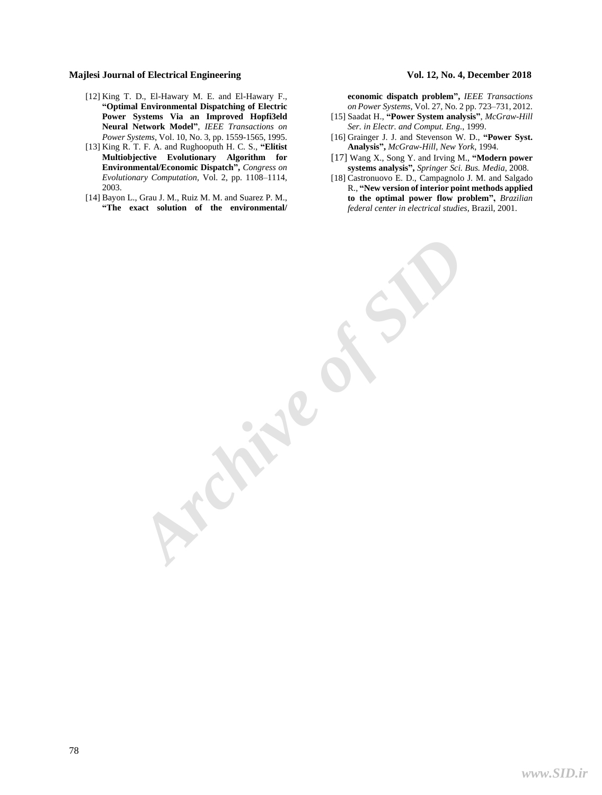- [12] King T. D., El-Hawary M. E. and El-Hawary F., **"Optimal Environmental Dispatching of Electric Power Systems Via an Improved Hopfi3eld Neural Network Model"**, *IEEE Transactions on Power Systems*, Vol. 10, No. 3, pp. 1559-1565, 1995.
- [13] [King](http://ieeexplore.ieee.org/search/searchresult.jsp?searchWithin=p_Authors:.QT.King,%20R.T.F.A..QT.&newsearch=true) R. T. F. A. and Rughooputh H. C. [S.,](http://ieeexplore.ieee.org/search/searchresult.jsp?searchWithin=p_Authors:.QT.Rughooputh,%20H.C.S..QT.&searchWithin=p_Author_Ids:37353470100&newsearch=true) **["Elitist](http://ieeexplore.ieee.org/xpl/articleDetails.jsp?tp=&arnumber=1299792&queryText%3Denvironmental%2Feconomic+dispatch)  [Multiobjective Evolutionary Algorithm for](http://ieeexplore.ieee.org/xpl/articleDetails.jsp?tp=&arnumber=1299792&queryText%3Denvironmental%2Feconomic+dispatch)  [Environmental/Economic Dispatch"](http://ieeexplore.ieee.org/xpl/articleDetails.jsp?tp=&arnumber=1299792&queryText%3Denvironmental%2Feconomic+dispatch),** *Congress on [Evolutionary Computation,](http://ieeexplore.ieee.org/xpl/mostRecentIssue.jsp?punumber=9096)* Vol. 2, pp. 1108–1114, 2003.
- [14] Bayon [L.,](http://ieeexplore.ieee.org/search/searchresult.jsp?searchWithin=p_Authors:.QT.Bayon,%20L..QT.&searchWithin=p_Author_Ids:38242543700&newsearch=true) Grau J. [M.,](http://ieeexplore.ieee.org/search/searchresult.jsp?searchWithin=p_Authors:.QT.Grau,%20J.M..QT.&searchWithin=p_Author_Ids:38232090300&newsearch=true) [Ruiz](http://ieeexplore.ieee.org/search/searchresult.jsp?searchWithin=p_Authors:.QT.Ruiz,%20M.M..QT.&searchWithin=p_Author_Ids:38235684100&newsearch=true) M. M. and Suarez P. [M.,](http://ieeexplore.ieee.org/search/searchresult.jsp?searchWithin=p_Authors:.QT.Suarez,%20P.M..QT.&searchWithin=p_Author_Ids:38232543700&newsearch=true) **"The exact solution [of the environmental/](http://ieeexplore.ieee.org/xpl/articleDetails.jsp?tp=&arnumber=6140617&queryText%3Denvironmental%2Feconomic+dispatch)**

**[economic dispatch problem",](http://ieeexplore.ieee.org/xpl/articleDetails.jsp?tp=&arnumber=6140617&queryText%3Denvironmental%2Feconomic+dispatch)** *IEEE Transactions on Power Systems*, Vol. 27, [No. 2 pp. 723–731,](http://ieeexplore.ieee.org/xpl/RecentIssue.jsp?punumber=59) 2012.

- [15] Saadat H., **"Power System analysis"**, *McGraw-Hill Ser. in Electr. and Comput. Eng.*, 1999.
- [16] Grainger J. J. and Stevenson W. D., **"Power Syst. Analysis",** *McGraw-Hill, New York*, 1994.
- [17] Wang X., Song Y. and Irving M., **"Modern power systems analysis",** *Springer Sci. Bus. Media*, 2008.
- [18] Castronuovo E. D., Campagnolo J. M. and Salgado R., **"New version of interior point methods applied to the optimal power flow problem",** *Brazilian federal center in electrical studies*, Brazil, 2001.

*Archive of SID*